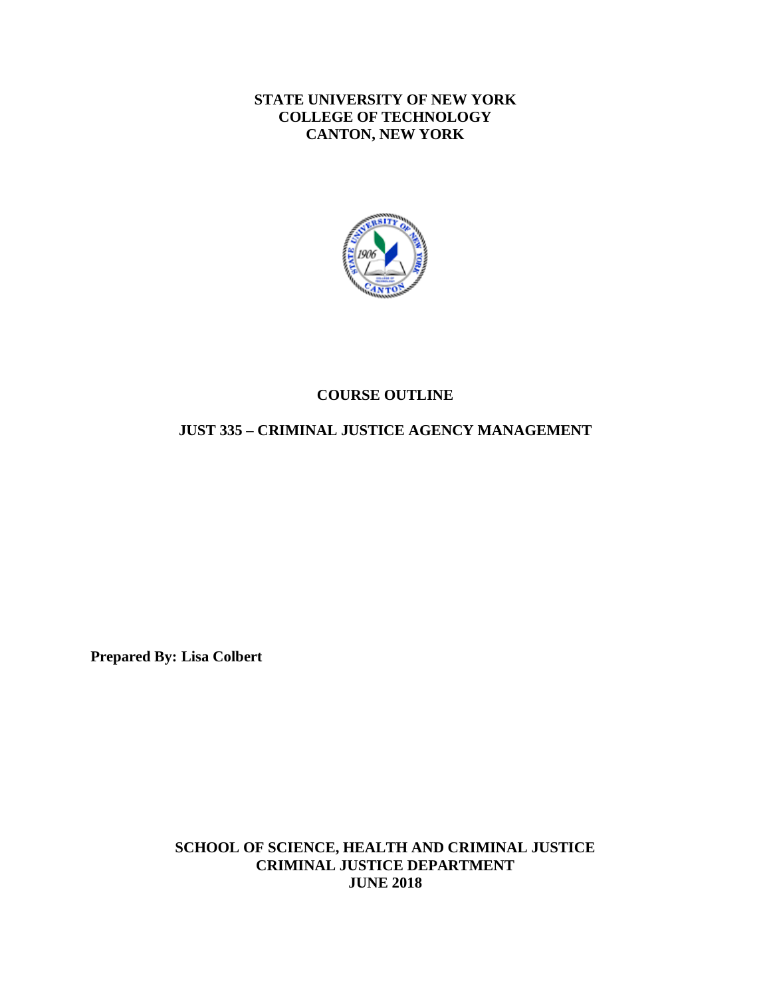### **STATE UNIVERSITY OF NEW YORK COLLEGE OF TECHNOLOGY CANTON, NEW YORK**



# **COURSE OUTLINE**

#### **JUST 335 – CRIMINAL JUSTICE AGENCY MANAGEMENT**

**Prepared By: Lisa Colbert** 

**SCHOOL OF SCIENCE, HEALTH AND CRIMINAL JUSTICE CRIMINAL JUSTICE DEPARTMENT JUNE 2018**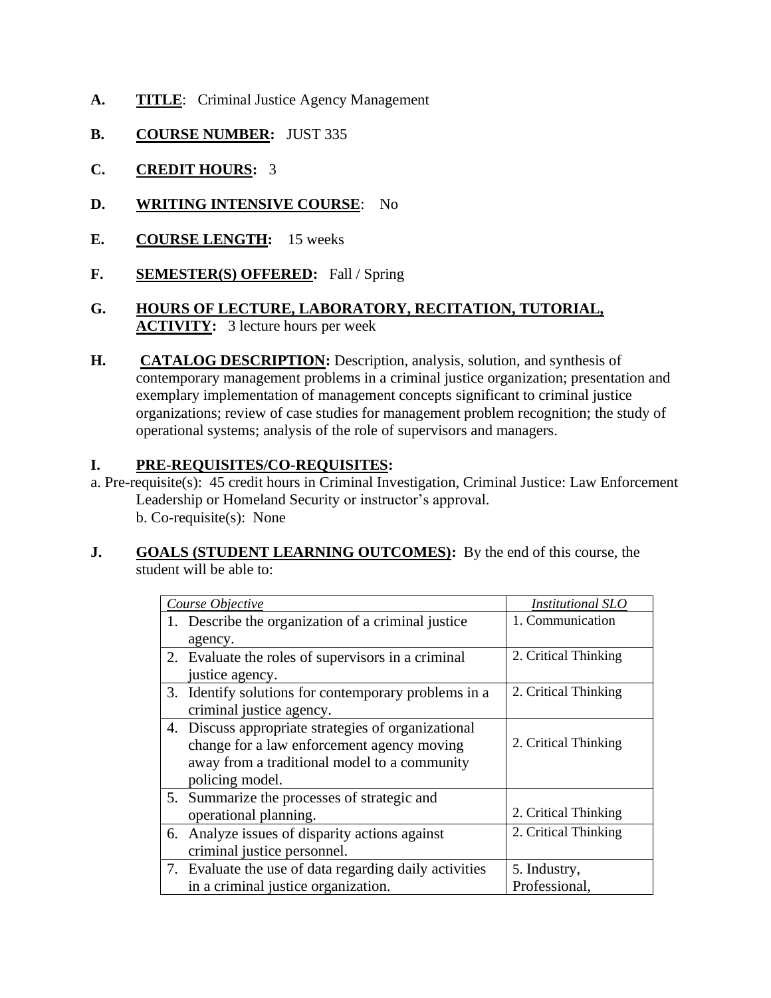- A. TITLE: Criminal Justice Agency Management
- **B. COURSE NUMBER:** JUST 335
- **C. CREDIT HOURS:** 3
- **D. WRITING INTENSIVE COURSE**: No
- **E. COURSE LENGTH:** 15 weeks
- **F. SEMESTER(S) OFFERED:** Fall / Spring
- **ACTIVITY:** 3 lecture hours per week **G. HOURS OF LECTURE, LABORATORY, RECITATION, TUTORIAL,**
- **H. CATALOG DESCRIPTION:** Description, analysis, solution, and synthesis of contemporary management problems in a criminal justice organization; presentation and exemplary implementation of management concepts significant to criminal justice organizations; review of case studies for management problem recognition; the study of operational systems; analysis of the role of supervisors and managers.

## **I. PRE-REQUISITES/CO-REQUISITES:**

- a. Pre-requisite(s): 45 credit hours in Criminal Investigation, Criminal Justice: Law Enforcement Leadership or Homeland Security or instructor's approval. b. Co-requisite(s): None
- **J.** GOALS (STUDENT LEARNING OUTCOMES): By the end of this course, the student will be able to:

| Course Objective                                       | <i>Institutional SLO</i> |
|--------------------------------------------------------|--------------------------|
| 1. Describe the organization of a criminal justice     | 1. Communication         |
| agency.                                                |                          |
| 2. Evaluate the roles of supervisors in a criminal     | 2. Critical Thinking     |
| justice agency.                                        |                          |
| 3. Identify solutions for contemporary problems in a   | 2. Critical Thinking     |
| criminal justice agency.                               |                          |
| 4. Discuss appropriate strategies of organizational    |                          |
| change for a law enforcement agency moving             | 2. Critical Thinking     |
| away from a traditional model to a community           |                          |
| policing model.                                        |                          |
| 5. Summarize the processes of strategic and            |                          |
| operational planning.                                  | 2. Critical Thinking     |
| 6. Analyze issues of disparity actions against         | 2. Critical Thinking     |
| criminal justice personnel.                            |                          |
| 7. Evaluate the use of data regarding daily activities | 5. Industry,             |
| in a criminal justice organization.                    | Professional,            |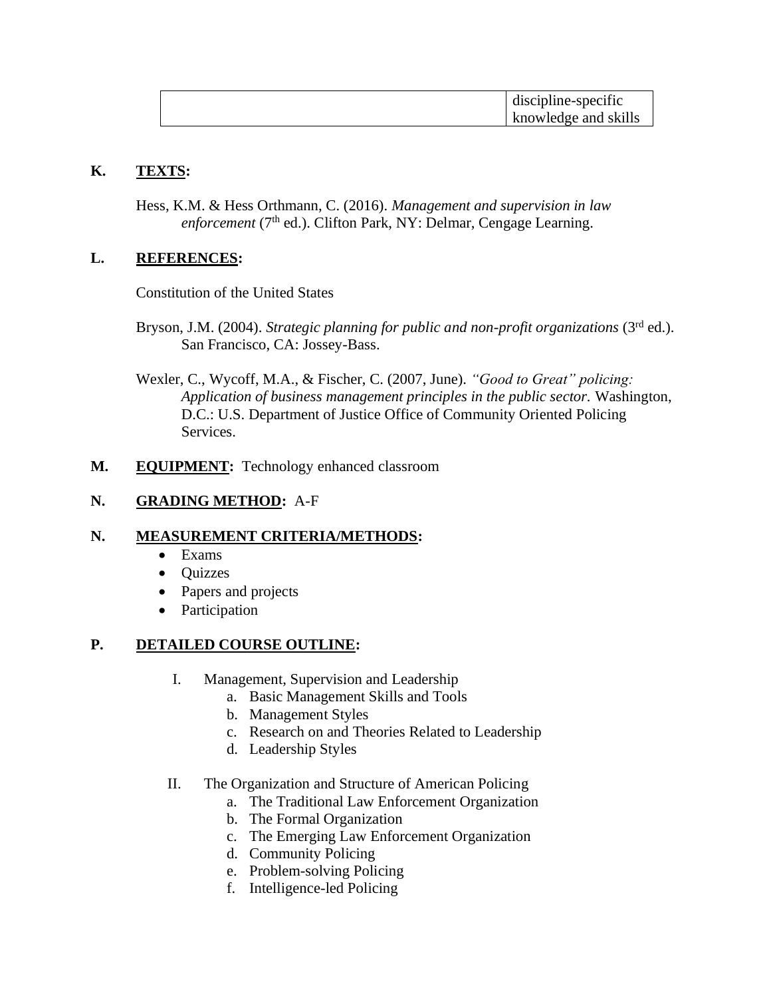| discipline-specific  |
|----------------------|
| knowledge and skills |

## **K. TEXTS:**

Hess, K.M. & Hess Orthmann, C. (2016). *Management and supervision in law enforcement* (7<sup>th</sup> ed.). Clifton Park, NY: Delmar, Cengage Learning.

### **L. REFERENCES:**

Constitution of the United States

- Bryson, J.M. (2004). *Strategic planning for public and non-profit organizations* (3<sup>rd</sup> ed.). San Francisco, CA: Jossey-Bass.
- Wexler, C., Wycoff, M.A., & Fischer, C. (2007, June). *"Good to Great" policing: Application of business management principles in the public sector.* Washington, D.C.: U.S. Department of Justice Office of Community Oriented Policing Services.
- **M. EQUIPMENT:** Technology enhanced classroom

#### **N. GRADING METHOD:** A-F

### **N. MEASUREMENT CRITERIA/METHODS:**

- Exams
- Quizzes
- Papers and projects
- Participation

### **P. DETAILED COURSE OUTLINE:**

- I. Management, Supervision and Leadership
	- a. Basic Management Skills and Tools
	- b. Management Styles
	- c. Research on and Theories Related to Leadership
	- d. Leadership Styles
- II. The Organization and Structure of American Policing
	- a. The Traditional Law Enforcement Organization
	- b. The Formal Organization
	- c. The Emerging Law Enforcement Organization
	- d. Community Policing
	- e. Problem-solving Policing
	- f. Intelligence-led Policing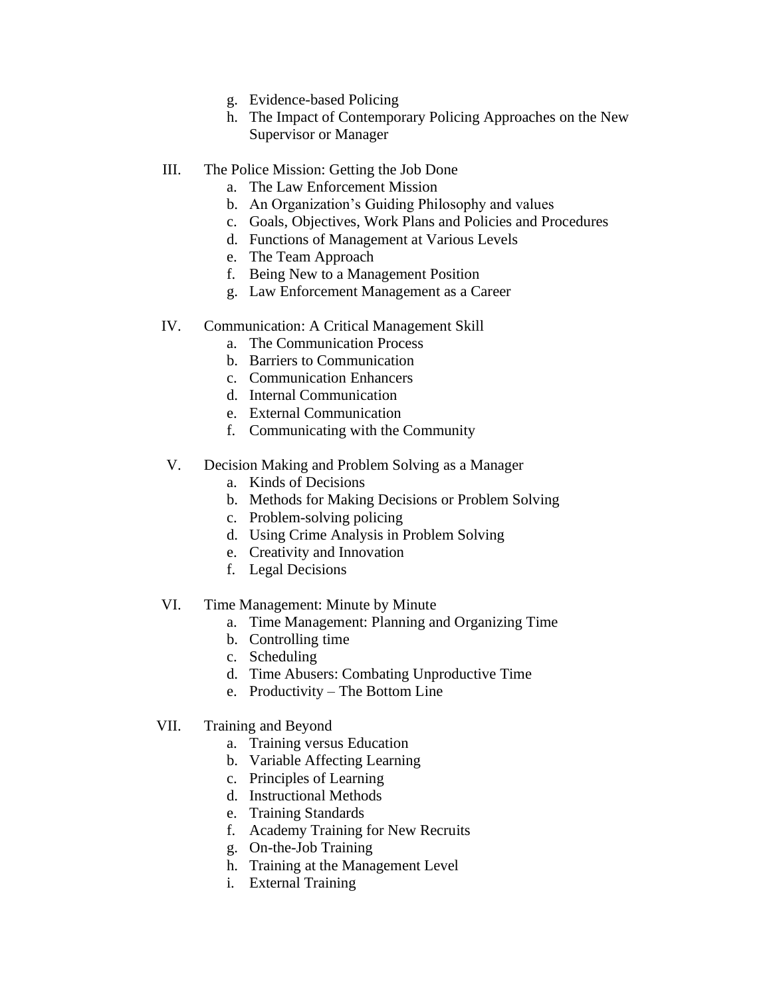- g. Evidence-based Policing
- h. The Impact of Contemporary Policing Approaches on the New Supervisor or Manager
- III. The Police Mission: Getting the Job Done
	- a. The Law Enforcement Mission
	- b. An Organization's Guiding Philosophy and values
	- c. Goals, Objectives, Work Plans and Policies and Procedures
	- d. Functions of Management at Various Levels
	- e. The Team Approach
	- f. Being New to a Management Position
	- g. Law Enforcement Management as a Career
- IV. Communication: A Critical Management Skill
	- a. The Communication Process
	- b. Barriers to Communication
	- c. Communication Enhancers
	- d. Internal Communication
	- e. External Communication
	- f. Communicating with the Community
- V. Decision Making and Problem Solving as a Manager
	- a. Kinds of Decisions
	- b. Methods for Making Decisions or Problem Solving
	- c. Problem-solving policing
	- d. Using Crime Analysis in Problem Solving
	- e. Creativity and Innovation
	- f. Legal Decisions
- VI. Time Management: Minute by Minute
	- a. Time Management: Planning and Organizing Time
	- b. Controlling time
	- c. Scheduling
	- d. Time Abusers: Combating Unproductive Time
	- e. Productivity The Bottom Line
- VII. Training and Beyond
	- a. Training versus Education
	- b. Variable Affecting Learning
	- c. Principles of Learning
	- d. Instructional Methods
	- e. Training Standards
	- f. Academy Training for New Recruits
	- g. On-the-Job Training
	- h. Training at the Management Level
	- i. External Training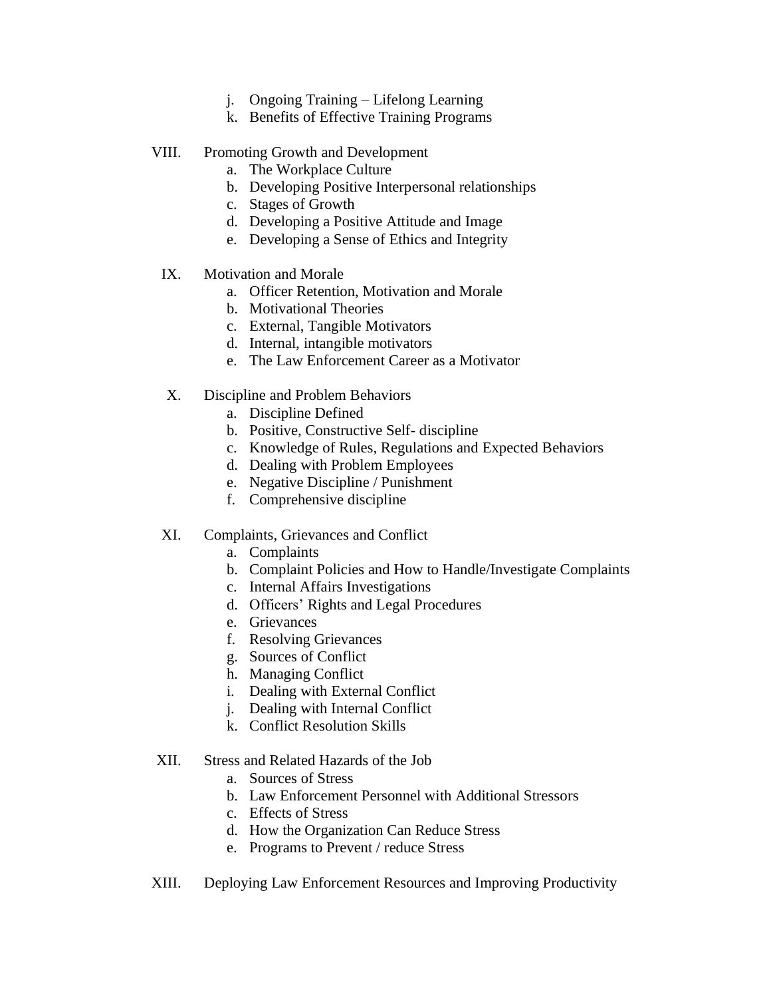- j. Ongoing Training Lifelong Learning
- k. Benefits of Effective Training Programs
- VIII. Promoting Growth and Development
	- a. The Workplace Culture
	- b. Developing Positive Interpersonal relationships
	- c. Stages of Growth
	- d. Developing a Positive Attitude and Image
	- e. Developing a Sense of Ethics and Integrity
	- IX. Motivation and Morale
		- a. Officer Retention, Motivation and Morale
		- b. Motivational Theories
		- c. External, Tangible Motivators
		- d. Internal, intangible motivators
		- e. The Law Enforcement Career as a Motivator
	- X. Discipline and Problem Behaviors
		- a. Discipline Defined
		- b. Positive, Constructive Self- discipline
		- c. Knowledge of Rules, Regulations and Expected Behaviors
		- d. Dealing with Problem Employees
		- e. Negative Discipline / Punishment
		- f. Comprehensive discipline
- XI. Complaints, Grievances and Conflict
	- a. Complaints
	- b. Complaint Policies and How to Handle/Investigate Complaints
	- c. Internal Affairs Investigations
	- d. Officers' Rights and Legal Procedures
	- e. Grievances
	- f. Resolving Grievances
	- g. Sources of Conflict
	- h. Managing Conflict
	- i. Dealing with External Conflict
	- j. Dealing with Internal Conflict
	- k. Conflict Resolution Skills
- XII. Stress and Related Hazards of the Job
	- a. Sources of Stress
	- b. Law Enforcement Personnel with Additional Stressors
	- c. Effects of Stress
	- d. How the Organization Can Reduce Stress
	- e. Programs to Prevent / reduce Stress
- XIII. Deploying Law Enforcement Resources and Improving Productivity